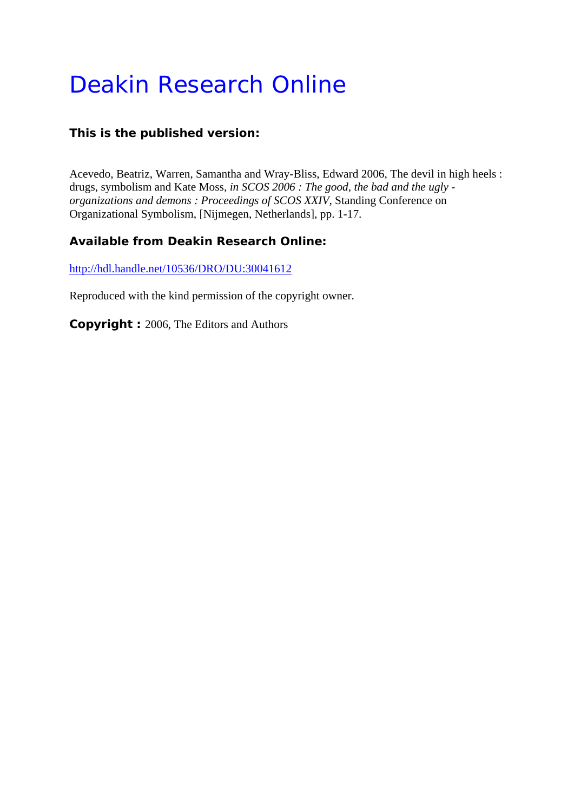# Deakin Research Online

# **This is the published version:**

Acevedo, Beatriz, Warren, Samantha and Wray-Bliss, Edward 2006, The devil in high heels : drugs, symbolism and Kate Moss*, in SCOS 2006 : The good, the bad and the ugly organizations and demons : Proceedings of SCOS XXIV*, Standing Conference on Organizational Symbolism, [Nijmegen, Netherlands], pp. 1-17.

# **Available from Deakin Research Online:**

http://hdl.handle.net/10536/DRO/DU:30041612

Reproduced with the kind permission of the copyright owner.

**Copyright :** 2006, The Editors and Authors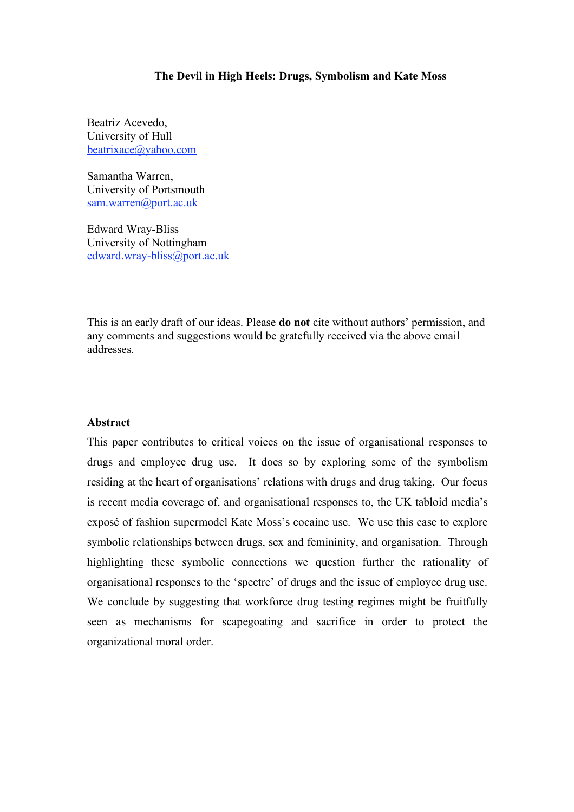# **The Devil in High Heels: Drugs, Symbolism and Kate Moss**

Beatriz Acevedo, University of Hull beatrixace@yahoo.com

Samantha Warren, University of Portsmouth sam.warren@port.ac.uk

Edward Wray-Bliss University of Nottingham edward.wray-bliss@port.ac.uk

This is an early draft of our ideas. Please **do not** cite without authors' permission, and any comments and suggestions would be gratefully received via the above email addresses.

# **Abstract**

This paper contributes to critical voices on the issue of organisational responses to drugs and employee drug use. It does so by exploring some of the symbolism residing at the heart of organisations' relations with drugs and drug taking. Our focus is recent media coverage of, and organisational responses to, the UK tabloid media's exposé of fashion supermodel Kate Moss's cocaine use. We use this case to explore symbolic relationships between drugs, sex and femininity, and organisation. Through highlighting these symbolic connections we question further the rationality of organisational responses to the 'spectre' of drugs and the issue of employee drug use. We conclude by suggesting that workforce drug testing regimes might be fruitfully seen as mechanisms for scapegoating and sacrifice in order to protect the organizational moral order.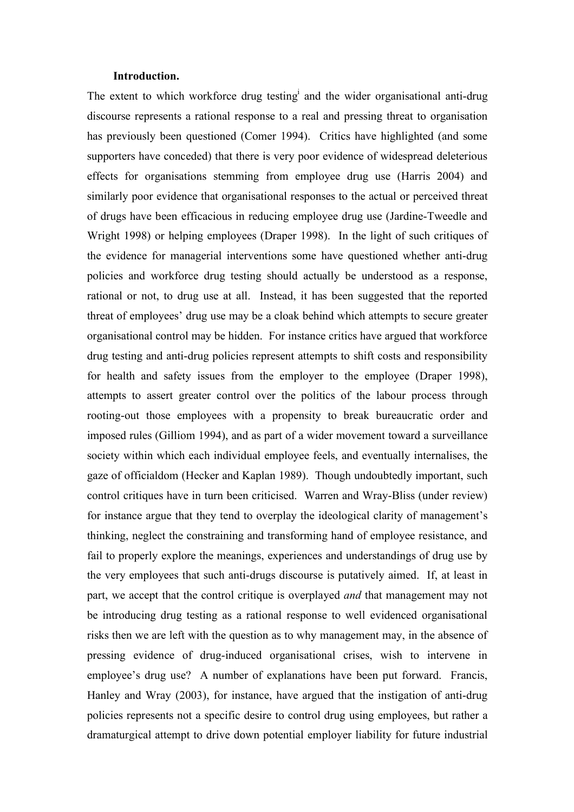#### **Introduction.**

The extent to which workforce drug testing<sup>i</sup> and the wider organisational anti-drug discourse represents a rational response to a real and pressing threat to organisation has previously been questioned (Comer 1994). Critics have highlighted (and some supporters have conceded) that there is very poor evidence of widespread deleterious effects for organisations stemming from employee drug use (Harris 2004) and similarly poor evidence that organisational responses to the actual or perceived threat of drugs have been efficacious in reducing employee drug use (Jardine-Tweedle and Wright 1998) or helping employees (Draper 1998). In the light of such critiques of the evidence for managerial interventions some have questioned whether anti-drug policies and workforce drug testing should actually be understood as a response, rational or not, to drug use at all. Instead, it has been suggested that the reported threat of employees' drug use may be a cloak behind which attempts to secure greater organisational control may be hidden. For instance critics have argued that workforce drug testing and anti-drug policies represent attempts to shift costs and responsibility for health and safety issues from the employer to the employee (Draper 1998), attempts to assert greater control over the politics of the labour process through rooting-out those employees with a propensity to break bureaucratic order and imposed rules (Gilliom 1994), and as part of a wider movement toward a surveillance society within which each individual employee feels, and eventually internalises, the gaze of officialdom (Hecker and Kaplan 1989). Though undoubtedly important, such control critiques have in turn been criticised. Warren and Wray-Bliss (under review) for instance argue that they tend to overplay the ideological clarity of management's thinking, neglect the constraining and transforming hand of employee resistance, and fail to properly explore the meanings, experiences and understandings of drug use by the very employees that such anti-drugs discourse is putatively aimed. If, at least in part, we accept that the control critique is overplayed *and* that management may not be introducing drug testing as a rational response to well evidenced organisational risks then we are left with the question as to why management may, in the absence of pressing evidence of drug-induced organisational crises, wish to intervene in employee's drug use? A number of explanations have been put forward. Francis, Hanley and Wray (2003), for instance, have argued that the instigation of anti-drug policies represents not a specific desire to control drug using employees, but rather a dramaturgical attempt to drive down potential employer liability for future industrial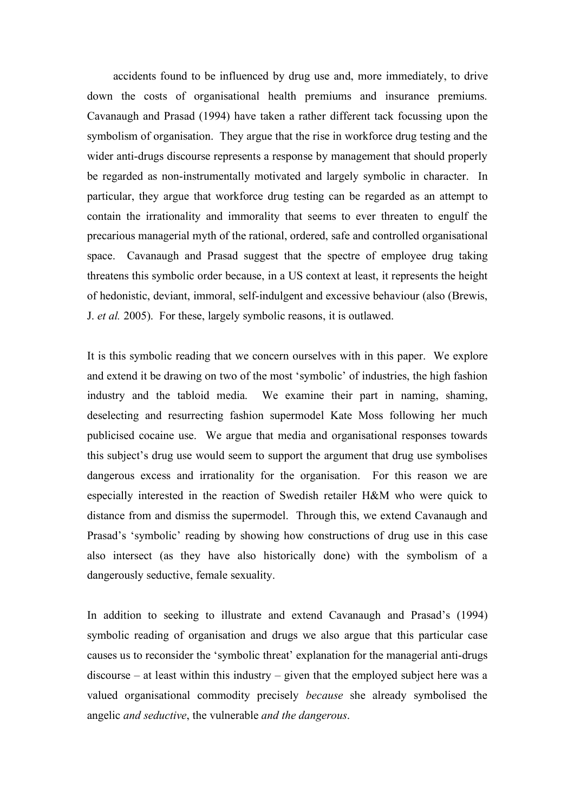accidents found to be influenced by drug use and, more immediately, to drive down the costs of organisational health premiums and insurance premiums. Cavanaugh and Prasad (1994) have taken a rather different tack focussing upon the symbolism of organisation. They argue that the rise in workforce drug testing and the wider anti-drugs discourse represents a response by management that should properly be regarded as non-instrumentally motivated and largely symbolic in character. In particular, they argue that workforce drug testing can be regarded as an attempt to contain the irrationality and immorality that seems to ever threaten to engulf the precarious managerial myth of the rational, ordered, safe and controlled organisational space. Cavanaugh and Prasad suggest that the spectre of employee drug taking threatens this symbolic order because, in a US context at least, it represents the height of hedonistic, deviant, immoral, self-indulgent and excessive behaviour (also (Brewis, J. *et al.* 2005). For these, largely symbolic reasons, it is outlawed.

It is this symbolic reading that we concern ourselves with in this paper. We explore and extend it be drawing on two of the most 'symbolic' of industries, the high fashion industry and the tabloid media. We examine their part in naming, shaming, deselecting and resurrecting fashion supermodel Kate Moss following her much publicised cocaine use. We argue that media and organisational responses towards this subject's drug use would seem to support the argument that drug use symbolises dangerous excess and irrationality for the organisation. For this reason we are especially interested in the reaction of Swedish retailer H&M who were quick to distance from and dismiss the supermodel. Through this, we extend Cavanaugh and Prasad's 'symbolic' reading by showing how constructions of drug use in this case also intersect (as they have also historically done) with the symbolism of a dangerously seductive, female sexuality.

In addition to seeking to illustrate and extend Cavanaugh and Prasad's (1994) symbolic reading of organisation and drugs we also argue that this particular case causes us to reconsider the 'symbolic threat' explanation for the managerial anti-drugs discourse – at least within this industry – given that the employed subject here was a valued organisational commodity precisely *because* she already symbolised the angelic *and seductive*, the vulnerable *and the dangerous*.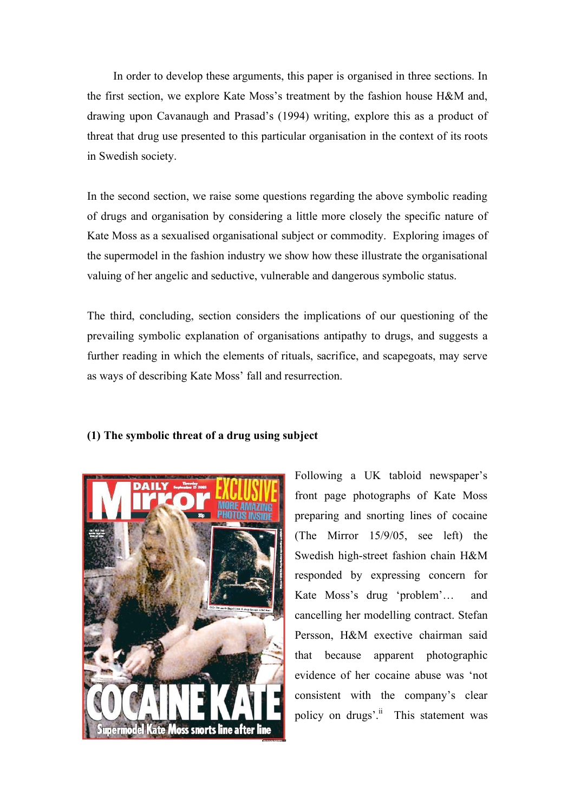In order to develop these arguments, this paper is organised in three sections. In the first section, we explore Kate Moss's treatment by the fashion house H&M and, drawing upon Cavanaugh and Prasad's (1994) writing, explore this as a product of threat that drug use presented to this particular organisation in the context of its roots in Swedish society.

In the second section, we raise some questions regarding the above symbolic reading of drugs and organisation by considering a little more closely the specific nature of Kate Moss as a sexualised organisational subject or commodity. Exploring images of the supermodel in the fashion industry we show how these illustrate the organisational valuing of her angelic and seductive, vulnerable and dangerous symbolic status.

The third, concluding, section considers the implications of our questioning of the prevailing symbolic explanation of organisations antipathy to drugs, and suggests a further reading in which the elements of rituals, sacrifice, and scapegoats, may serve as ways of describing Kate Moss' fall and resurrection.



# **(1) The symbolic threat of a drug using subject**

Following a UK tabloid newspaper's front page photographs of Kate Moss preparing and snorting lines of cocaine (The Mirror 15/9/05, see left) the Swedish high-street fashion chain H&M responded by expressing concern for Kate Moss's drug 'problem'… and cancelling her modelling contract. Stefan Persson, H&M exective chairman said that because apparent photographic evidence of her cocaine abuse was 'not consistent with the company's clear policy on drugs'.<sup>ii</sup> This statement was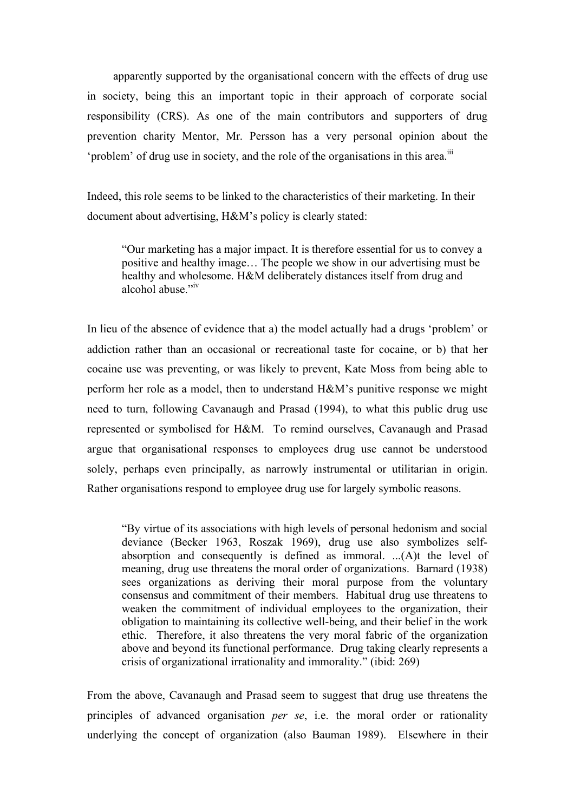apparently supported by the organisational concern with the effects of drug use in society, being this an important topic in their approach of corporate social responsibility (CRS). As one of the main contributors and supporters of drug prevention charity Mentor, Mr. Persson has a very personal opinion about the 'problem' of drug use in society, and the role of the organisations in this area.<sup>iii</sup>

Indeed, this role seems to be linked to the characteristics of their marketing. In their document about advertising, H&M's policy is clearly stated:

"Our marketing has a major impact. It is therefore essential for us to convey a positive and healthy image… The people we show in our advertising must be healthy and wholesome. H&M deliberately distances itself from drug and alcohol abuse." iv

In lieu of the absence of evidence that a) the model actually had a drugs 'problem' or addiction rather than an occasional or recreational taste for cocaine, or b) that her cocaine use was preventing, or was likely to prevent, Kate Moss from being able to perform her role as a model, then to understand H&M's punitive response we might need to turn, following Cavanaugh and Prasad (1994), to what this public drug use represented or symbolised for H&M. To remind ourselves, Cavanaugh and Prasad argue that organisational responses to employees drug use cannot be understood solely, perhaps even principally, as narrowly instrumental or utilitarian in origin. Rather organisations respond to employee drug use for largely symbolic reasons.

"By virtue of its associations with high levels of personal hedonism and social deviance (Becker 1963, Roszak 1969), drug use also symbolizes selfabsorption and consequently is defined as immoral. ...(A)t the level of meaning, drug use threatens the moral order of organizations. Barnard (1938) sees organizations as deriving their moral purpose from the voluntary consensus and commitment of their members. Habitual drug use threatens to weaken the commitment of individual employees to the organization, their obligation to maintaining its collective well-being, and their belief in the work ethic. Therefore, it also threatens the very moral fabric of the organization above and beyond its functional performance. Drug taking clearly represents a crisis of organizational irrationality and immorality." (ibid: 269)

From the above, Cavanaugh and Prasad seem to suggest that drug use threatens the principles of advanced organisation *per se*, i.e. the moral order or rationality underlying the concept of organization (also Bauman 1989). Elsewhere in their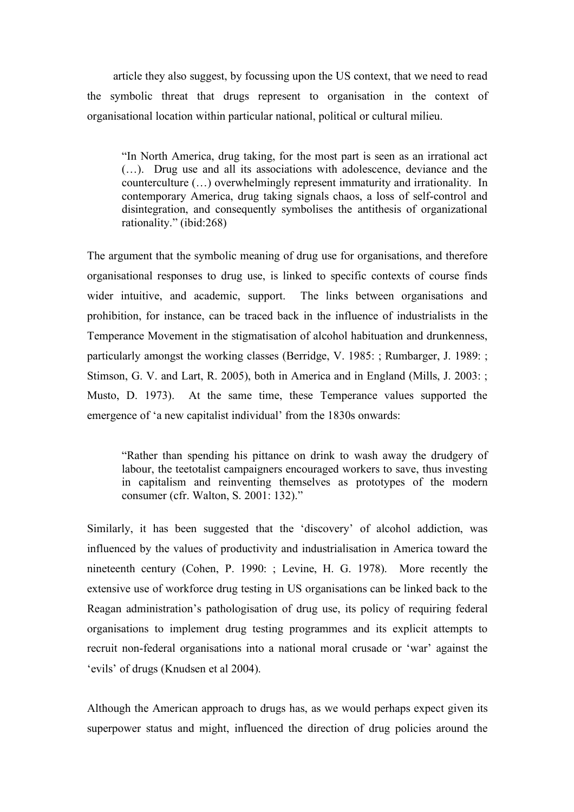article they also suggest, by focussing upon the US context, that we need to read the symbolic threat that drugs represent to organisation in the context of organisational location within particular national, political or cultural milieu.

"In North America, drug taking, for the most part is seen as an irrational act (…). Drug use and all its associations with adolescence, deviance and the counterculture (…) overwhelmingly represent immaturity and irrationality. In contemporary America, drug taking signals chaos, a loss of self-control and disintegration, and consequently symbolises the antithesis of organizational rationality." (ibid:268)

The argument that the symbolic meaning of drug use for organisations, and therefore organisational responses to drug use, is linked to specific contexts of course finds wider intuitive, and academic, support. The links between organisations and prohibition, for instance, can be traced back in the influence of industrialists in the Temperance Movement in the stigmatisation of alcohol habituation and drunkenness, particularly amongst the working classes (Berridge, V. 1985: ; Rumbarger, J. 1989: ; Stimson, G. V. and Lart, R. 2005), both in America and in England (Mills, J. 2003: ; Musto, D. 1973). At the same time, these Temperance values supported the emergence of 'a new capitalist individual' from the 1830s onwards:

"Rather than spending his pittance on drink to wash away the drudgery of labour, the teetotalist campaigners encouraged workers to save, thus investing in capitalism and reinventing themselves as prototypes of the modern consumer (cfr. Walton, S. 2001: 132)."

Similarly, it has been suggested that the 'discovery' of alcohol addiction, was influenced by the values of productivity and industrialisation in America toward the nineteenth century (Cohen, P. 1990: ; Levine, H. G. 1978). More recently the extensive use of workforce drug testing in US organisations can be linked back to the Reagan administration's pathologisation of drug use, its policy of requiring federal organisations to implement drug testing programmes and its explicit attempts to recruit non-federal organisations into a national moral crusade or 'war' against the 'evils' of drugs (Knudsen et al 2004).

Although the American approach to drugs has, as we would perhaps expect given its superpower status and might, influenced the direction of drug policies around the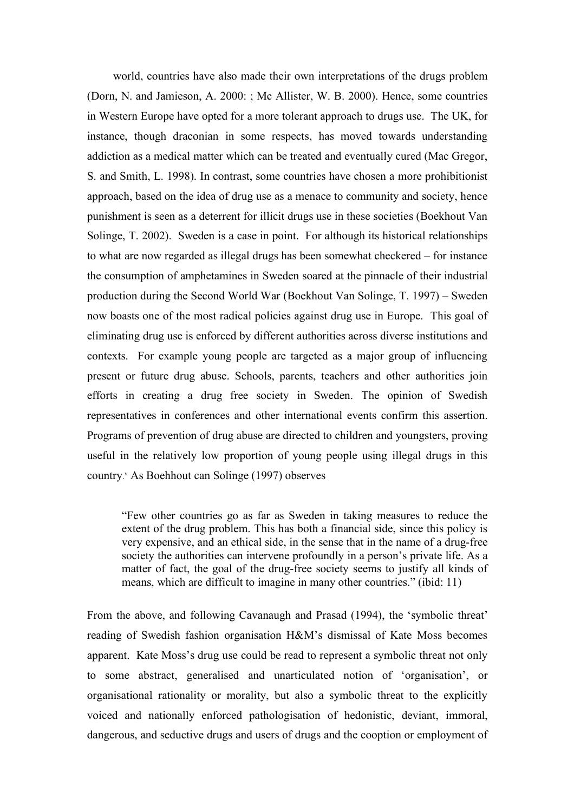world, countries have also made their own interpretations of the drugs problem (Dorn, N. and Jamieson, A. 2000: ; Mc Allister, W. B. 2000). Hence, some countries in Western Europe have opted for a more tolerant approach to drugs use. The UK, for instance, though draconian in some respects, has moved towards understanding addiction as a medical matter which can be treated and eventually cured (Mac Gregor, S. and Smith, L. 1998). In contrast, some countries have chosen a more prohibitionist approach, based on the idea of drug use as a menace to community and society, hence punishment is seen as a deterrent for illicit drugs use in these societies (Boekhout Van Solinge, T. 2002). Sweden is a case in point. For although its historical relationships to what are now regarded as illegal drugs has been somewhat checkered – for instance the consumption of amphetamines in Sweden soared at the pinnacle of their industrial production during the Second World War (Boekhout Van Solinge, T. 1997) – Sweden now boasts one of the most radical policies against drug use in Europe. This goal of eliminating drug use is enforced by different authorities across diverse institutions and contexts. For example young people are targeted as a major group of influencing present or future drug abuse. Schools, parents, teachers and other authorities join efforts in creating a drug free society in Sweden. The opinion of Swedish representatives in conferences and other international events confirm this assertion. Programs of prevention of drug abuse are directed to children and youngsters, proving useful in the relatively low proportion of young people using illegal drugs in this country.<sup>v</sup> As Boehhout can Solinge (1997) observes

"Few other countries go as far as Sweden in taking measures to reduce the extent of the drug problem. This has both a financial side, since this policy is very expensive, and an ethical side, in the sense that in the name of a drug-free society the authorities can intervene profoundly in a person's private life. As a matter of fact, the goal of the drug-free society seems to justify all kinds of means, which are difficult to imagine in many other countries." (ibid: 11)

From the above, and following Cavanaugh and Prasad (1994), the 'symbolic threat' reading of Swedish fashion organisation H&M's dismissal of Kate Moss becomes apparent. Kate Moss's drug use could be read to represent a symbolic threat not only to some abstract, generalised and unarticulated notion of 'organisation', or organisational rationality or morality, but also a symbolic threat to the explicitly voiced and nationally enforced pathologisation of hedonistic, deviant, immoral, dangerous, and seductive drugs and users of drugs and the cooption or employment of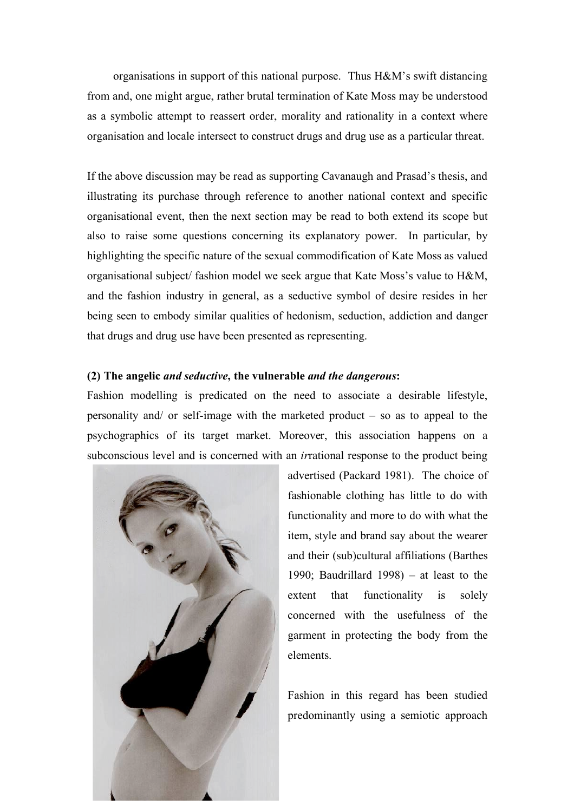organisations in support of this national purpose. Thus H&M's swift distancing from and, one might argue, rather brutal termination of Kate Moss may be understood as a symbolic attempt to reassert order, morality and rationality in a context where organisation and locale intersect to construct drugs and drug use as a particular threat.

If the above discussion may be read as supporting Cavanaugh and Prasad's thesis, and illustrating its purchase through reference to another national context and specific organisational event, then the next section may be read to both extend its scope but also to raise some questions concerning its explanatory power. In particular, by highlighting the specific nature of the sexual commodification of Kate Moss as valued organisational subject/ fashion model we seek argue that Kate Moss's value to H&M, and the fashion industry in general, as a seductive symbol of desire resides in her being seen to embody similar qualities of hedonism, seduction, addiction and danger that drugs and drug use have been presented as representing.

# **(2) The angelic** *and seductive***, the vulnerable** *and the dangerous***:**

Fashion modelling is predicated on the need to associate a desirable lifestyle, personality and/ or self-image with the marketed product – so as to appeal to the psychographics of its target market. Moreover, this association happens on a subconscious level and is concerned with an *ir*rational response to the product being



advertised (Packard 1981). The choice of fashionable clothing has little to do with functionality and more to do with what the item, style and brand say about the wearer and their (sub)cultural affiliations (Barthes 1990; Baudrillard 1998) – at least to the extent that functionality is solely concerned with the usefulness of the garment in protecting the body from the elements.

Fashion in this regard has been studied predominantly using a semiotic approach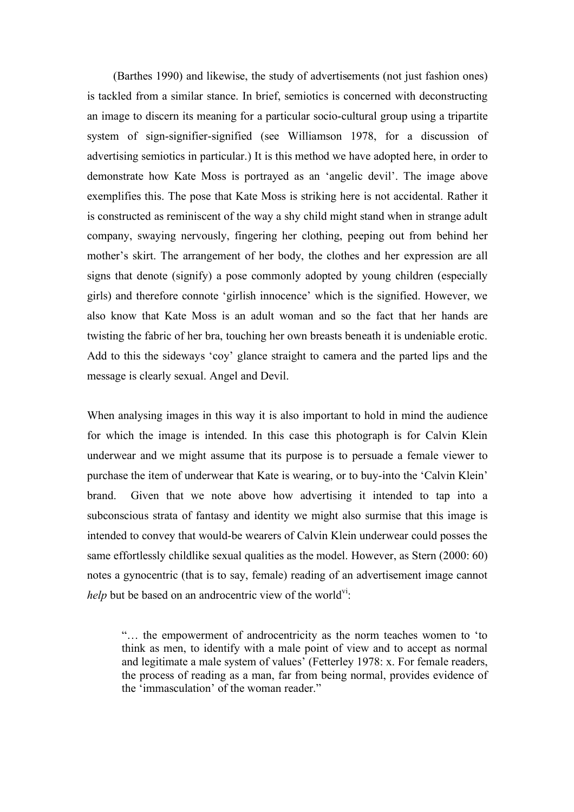(Barthes 1990) and likewise, the study of advertisements (not just fashion ones) is tackled from a similar stance. In brief, semiotics is concerned with deconstructing an image to discern its meaning for a particular socio-cultural group using a tripartite system of sign-signifier-signified (see Williamson 1978, for a discussion of advertising semiotics in particular.) It is this method we have adopted here, in order to demonstrate how Kate Moss is portrayed as an 'angelic devil'. The image above exemplifies this. The pose that Kate Moss is striking here is not accidental. Rather it is constructed as reminiscent of the way a shy child might stand when in strange adult company, swaying nervously, fingering her clothing, peeping out from behind her mother's skirt. The arrangement of her body, the clothes and her expression are all signs that denote (signify) a pose commonly adopted by young children (especially girls) and therefore connote 'girlish innocence' which is the signified. However, we also know that Kate Moss is an adult woman and so the fact that her hands are twisting the fabric of her bra, touching her own breasts beneath it is undeniable erotic. Add to this the sideways 'coy' glance straight to camera and the parted lips and the message is clearly sexual. Angel and Devil.

When analysing images in this way it is also important to hold in mind the audience for which the image is intended. In this case this photograph is for Calvin Klein underwear and we might assume that its purpose is to persuade a female viewer to purchase the item of underwear that Kate is wearing, or to buy-into the 'Calvin Klein' brand. Given that we note above how advertising it intended to tap into a subconscious strata of fantasy and identity we might also surmise that this image is intended to convey that would-be wearers of Calvin Klein underwear could posses the same effortlessly childlike sexual qualities as the model. However, as Stern (2000: 60) notes a gynocentric (that is to say, female) reading of an advertisement image cannot *help* but be based on an androcentric view of the world<sup>vi</sup>.

"… the empowerment of androcentricity as the norm teaches women to 'to think as men, to identify with a male point of view and to accept as normal and legitimate a male system of values' (Fetterley 1978: x. For female readers, the process of reading as a man, far from being normal, provides evidence of the 'immasculation' of the woman reader."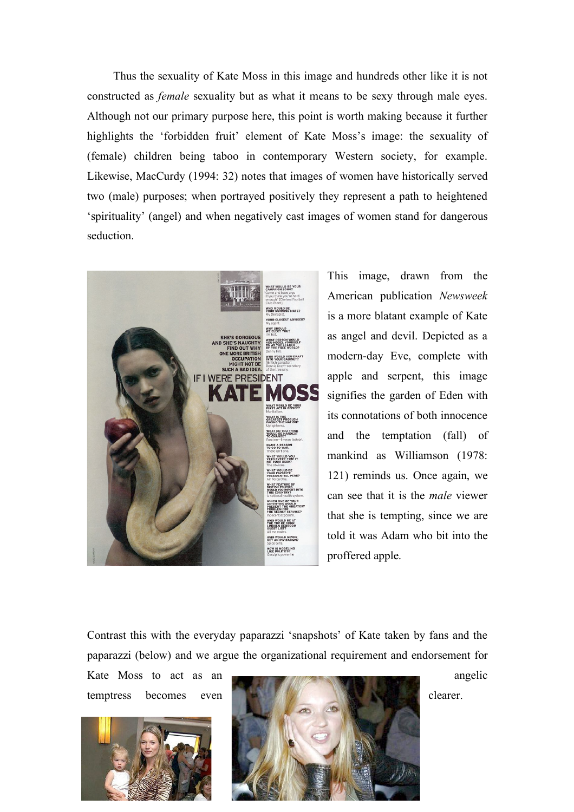Thus the sexuality of Kate Moss in this image and hundreds other like it is not constructed as *female* sexuality but as what it means to be sexy through male eyes. Although not our primary purpose here, this point is worth making because it further highlights the 'forbidden fruit' element of Kate Moss's image: the sexuality of (female) children being taboo in contemporary Western society, for example. Likewise, MacCurdy (1994: 32) notes that images of women have historically served two (male) purposes; when portrayed positively they represent a path to heightened 'spirituality' (angel) and when negatively cast images of women stand for dangerous seduction.



This image, drawn from the American publication *Newsweek* is a more blatant example of Kate as angel and devil. Depicted as a modern-day Eve, complete with apple and serpent, this image signifies the garden of Eden with its connotations of both innocence and the temptation (fall) of mankind as Williamson (1978: 121) reminds us. Once again, we can see that it is the *male* viewer that she is tempting, since we are told it was Adam who bit into the proffered apple.

Contrast this with the everyday paparazzi 'snapshots' of Kate taken by fans and the paparazzi (below) and we argue the organizational requirement and endorsement for



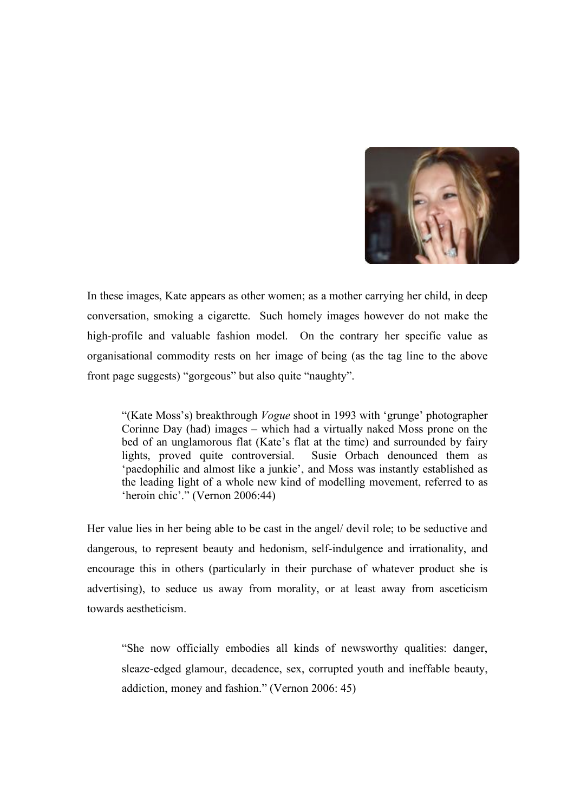

In these images, Kate appears as other women; as a mother carrying her child, in deep conversation, smoking a cigarette. Such homely images however do not make the high-profile and valuable fashion model. On the contrary her specific value as organisational commodity rests on her image of being (as the tag line to the above front page suggests) "gorgeous" but also quite "naughty".

"(Kate Moss's) breakthrough *Vogue* shoot in 1993 with 'grunge' photographer Corinne Day (had) images – which had a virtually naked Moss prone on the bed of an unglamorous flat (Kate's flat at the time) and surrounded by fairy lights, proved quite controversial. Susie Orbach denounced them as 'paedophilic and almost like a junkie', and Moss was instantly established as the leading light of a whole new kind of modelling movement, referred to as 'heroin chic'." (Vernon 2006:44)

Her value lies in her being able to be cast in the angel/ devil role; to be seductive and dangerous, to represent beauty and hedonism, self-indulgence and irrationality, and encourage this in others (particularly in their purchase of whatever product she is advertising), to seduce us away from morality, or at least away from asceticism towards aestheticism.

"She now officially embodies all kinds of newsworthy qualities: danger, sleaze-edged glamour, decadence, sex, corrupted youth and ineffable beauty, addiction, money and fashion." (Vernon 2006: 45)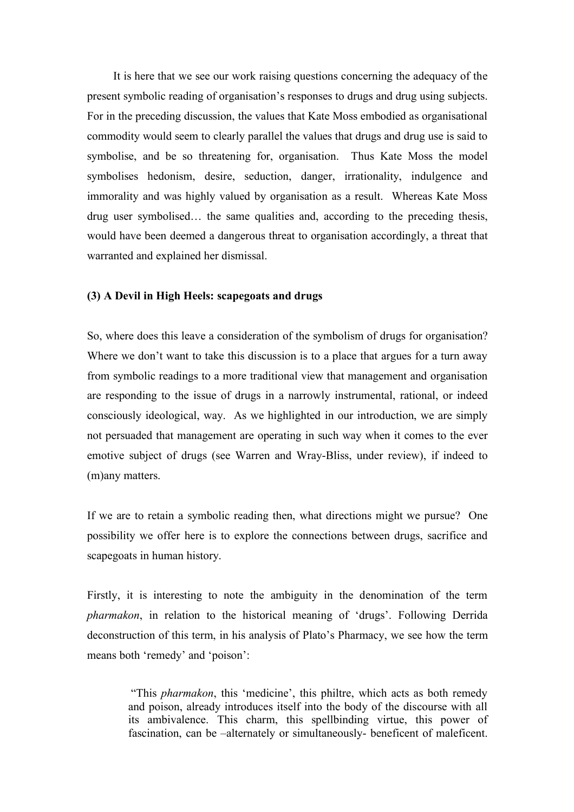It is here that we see our work raising questions concerning the adequacy of the present symbolic reading of organisation's responses to drugs and drug using subjects. For in the preceding discussion, the values that Kate Moss embodied as organisational commodity would seem to clearly parallel the values that drugs and drug use is said to symbolise, and be so threatening for, organisation. Thus Kate Moss the model symbolises hedonism, desire, seduction, danger, irrationality, indulgence and immorality and was highly valued by organisation as a result. Whereas Kate Moss drug user symbolised… the same qualities and, according to the preceding thesis, would have been deemed a dangerous threat to organisation accordingly, a threat that warranted and explained her dismissal.

# **(3) A Devil in High Heels: scapegoats and drugs**

So, where does this leave a consideration of the symbolism of drugs for organisation? Where we don't want to take this discussion is to a place that argues for a turn away from symbolic readings to a more traditional view that management and organisation are responding to the issue of drugs in a narrowly instrumental, rational, or indeed consciously ideological, way. As we highlighted in our introduction, we are simply not persuaded that management are operating in such way when it comes to the ever emotive subject of drugs (see Warren and Wray-Bliss, under review), if indeed to (m)any matters.

If we are to retain a symbolic reading then, what directions might we pursue? One possibility we offer here is to explore the connections between drugs, sacrifice and scapegoats in human history.

Firstly, it is interesting to note the ambiguity in the denomination of the term *pharmakon*, in relation to the historical meaning of 'drugs'. Following Derrida deconstruction of this term, in his analysis of Plato's Pharmacy, we see how the term means both 'remedy' and 'poison':

"This *pharmakon*, this 'medicine', this philtre, which acts as both remedy and poison, already introduces itself into the body of the discourse with all its ambivalence. This charm, this spellbinding virtue, this power of fascination, can be –alternately or simultaneously- beneficent of maleficent.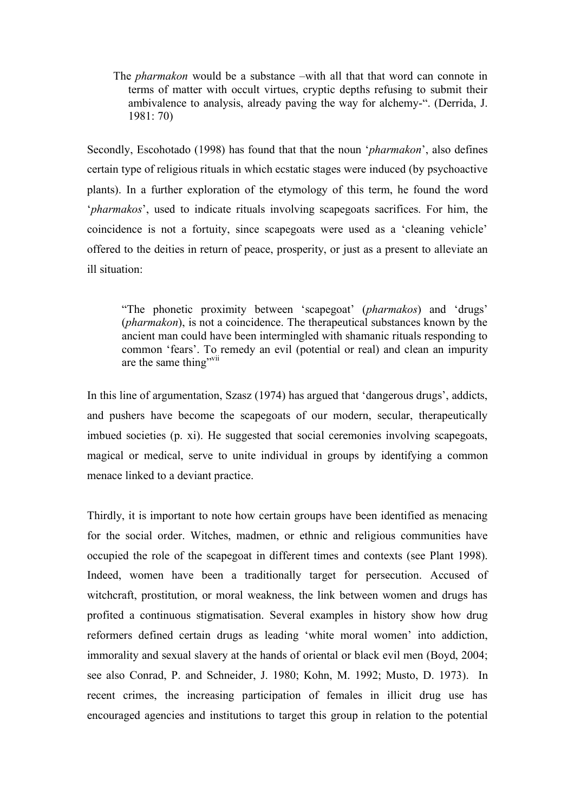The *pharmakon* would be a substance –with all that that word can connote in terms of matter with occult virtues, cryptic depths refusing to submit their ambivalence to analysis, already paving the way for alchemy-". (Derrida, J. 1981: 70)

Secondly, Escohotado (1998) has found that that the noun '*pharmakon*', also defines certain type of religious rituals in which ecstatic stages were induced (by psychoactive plants). In a further exploration of the etymology of this term, he found the word '*pharmakos*', used to indicate rituals involving scapegoats sacrifices. For him, the coincidence is not a fortuity, since scapegoats were used as a 'cleaning vehicle' offered to the deities in return of peace, prosperity, or just as a present to alleviate an ill situation:

"The phonetic proximity between 'scapegoat' (*pharmakos*) and 'drugs' (*pharmakon*), is not a coincidence. The therapeutical substances known by the ancient man could have been intermingled with shamanic rituals responding to common 'fears'. To remedy an evil (potential or real) and clean an impurity are the same thing"<sup>vii</sup>

In this line of argumentation, Szasz (1974) has argued that 'dangerous drugs', addicts, and pushers have become the scapegoats of our modern, secular, therapeutically imbued societies (p. xi). He suggested that social ceremonies involving scapegoats, magical or medical, serve to unite individual in groups by identifying a common menace linked to a deviant practice.

Thirdly, it is important to note how certain groups have been identified as menacing for the social order. Witches, madmen, or ethnic and religious communities have occupied the role of the scapegoat in different times and contexts (see Plant 1998). Indeed, women have been a traditionally target for persecution. Accused of witchcraft, prostitution, or moral weakness, the link between women and drugs has profited a continuous stigmatisation. Several examples in history show how drug reformers defined certain drugs as leading 'white moral women' into addiction, immorality and sexual slavery at the hands of oriental or black evil men (Boyd, 2004; see also Conrad, P. and Schneider, J. 1980; Kohn, M. 1992; Musto, D. 1973). In recent crimes, the increasing participation of females in illicit drug use has encouraged agencies and institutions to target this group in relation to the potential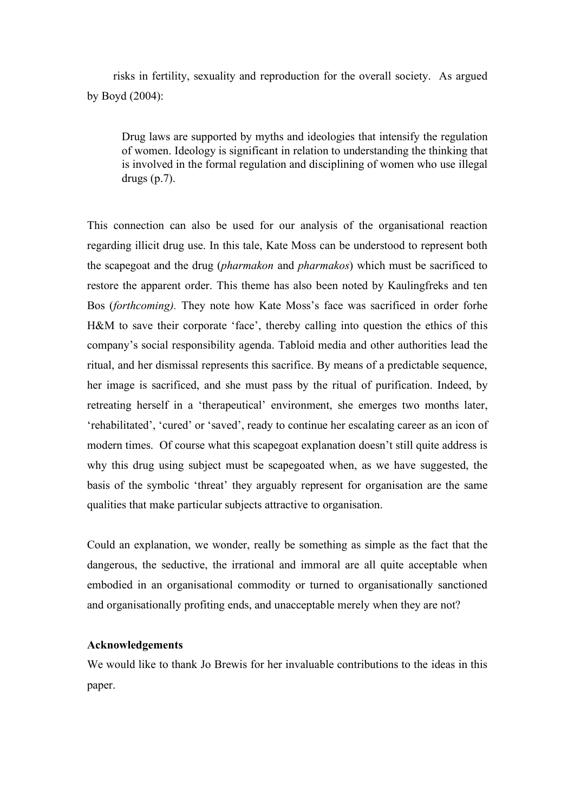risks in fertility, sexuality and reproduction for the overall society. As argued by Boyd (2004):

Drug laws are supported by myths and ideologies that intensify the regulation of women. Ideology is significant in relation to understanding the thinking that is involved in the formal regulation and disciplining of women who use illegal drugs  $(p.7)$ .

This connection can also be used for our analysis of the organisational reaction regarding illicit drug use. In this tale, Kate Moss can be understood to represent both the scapegoat and the drug (*pharmakon* and *pharmakos*) which must be sacrificed to restore the apparent order. This theme has also been noted by Kaulingfreks and ten Bos (*forthcoming).* They note how Kate Moss's face was sacrificed in order forhe H&M to save their corporate 'face', thereby calling into question the ethics of this company's social responsibility agenda. Tabloid media and other authorities lead the ritual, and her dismissal represents this sacrifice. By means of a predictable sequence, her image is sacrificed, and she must pass by the ritual of purification. Indeed, by retreating herself in a 'therapeutical' environment, she emerges two months later, 'rehabilitated', 'cured' or 'saved', ready to continue her escalating career as an icon of modern times. Of course what this scapegoat explanation doesn't still quite address is why this drug using subject must be scapegoated when, as we have suggested, the basis of the symbolic 'threat' they arguably represent for organisation are the same qualities that make particular subjects attractive to organisation.

Could an explanation, we wonder, really be something as simple as the fact that the dangerous, the seductive, the irrational and immoral are all quite acceptable when embodied in an organisational commodity or turned to organisationally sanctioned and organisationally profiting ends, and unacceptable merely when they are not?

# **Acknowledgements**

We would like to thank Jo Brewis for her invaluable contributions to the ideas in this paper.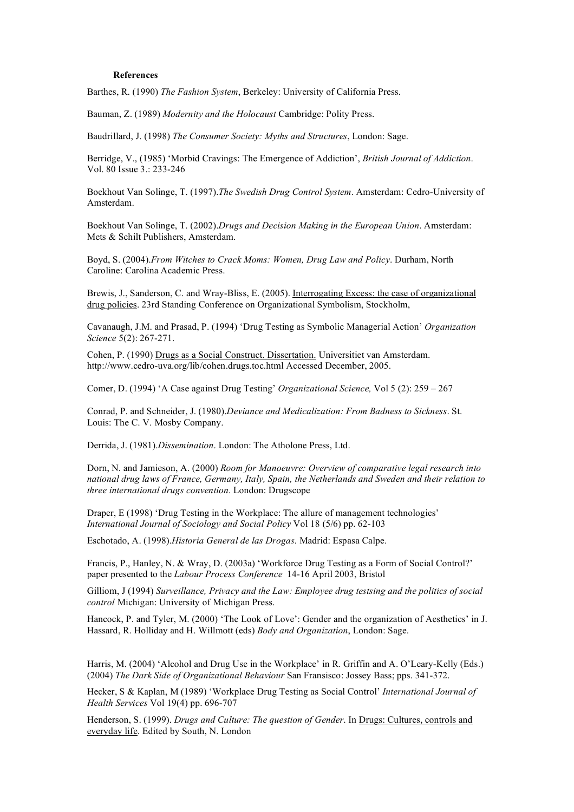#### **References**

Barthes, R. (1990) *The Fashion System*, Berkeley: University of California Press.

Bauman, Z. (1989) *Modernity and the Holocaust* Cambridge: Polity Press.

Baudrillard, J. (1998) *The Consumer Society: Myths and Structures*, London: Sage.

Berridge, V., (1985) 'Morbid Cravings: The Emergence of Addiction', *British Journal of Addiction*. Vol. 80 Issue 3.: 233-246

Boekhout Van Solinge, T. (1997).*The Swedish Drug Control System*. Amsterdam: Cedro-University of Amsterdam.

Boekhout Van Solinge, T. (2002).*Drugs and Decision Making in the European Union*. Amsterdam: Mets & Schilt Publishers, Amsterdam.

Boyd, S. (2004).*From Witches to Crack Moms: Women, Drug Law and Policy*. Durham, North Caroline: Carolina Academic Press.

Brewis, J., Sanderson, C. and Wray-Bliss, E. (2005). Interrogating Excess: the case of organizational drug policies. 23rd Standing Conference on Organizational Symbolism, Stockholm,

Cavanaugh, J.M. and Prasad, P. (1994) 'Drug Testing as Symbolic Managerial Action' *Organization Science* 5(2): 267-271.

Cohen, P. (1990) Drugs as a Social Construct. Dissertation. Universitiet van Amsterdam. http://www.cedro-uva.org/lib/cohen.drugs.toc.html Accessed December, 2005.

Comer, D. (1994) 'A Case against Drug Testing' *Organizational Science,* Vol 5 (2): 259 – 267

Conrad, P. and Schneider, J. (1980).*Deviance and Medicalization: From Badness to Sickness*. St. Louis: The C. V. Mosby Company.

Derrida, J. (1981).*Dissemination*. London: The Atholone Press, Ltd.

Dorn, N. and Jamieson, A. (2000) *Room for Manoeuvre: Overview of comparative legal research into national drug laws of France, Germany, Italy, Spain, the Netherlands and Sweden and their relation to three international drugs convention.* London: Drugscope

Draper, E (1998) 'Drug Testing in the Workplace: The allure of management technologies' *International Journal of Sociology and Social Policy* Vol 18 (5/6) pp. 62-103

Eschotado, A. (1998).*Historia General de las Drogas*. Madrid: Espasa Calpe.

Francis, P., Hanley, N. & Wray, D. (2003a) 'Workforce Drug Testing as a Form of Social Control?' paper presented to the *Labour Process Conference* 14-16 April 2003, Bristol

Gilliom, J (1994) *Surveillance, Privacy and the Law: Employee drug testsing and the politics of social control* Michigan: University of Michigan Press.

Hancock, P. and Tyler, M. (2000) 'The Look of Love': Gender and the organization of Aesthetics' in J. Hassard, R. Holliday and H. Willmott (eds) *Body and Organization*, London: Sage.

Harris, M. (2004) 'Alcohol and Drug Use in the Workplace' in R. Griffin and A. O'Leary-Kelly (Eds.) (2004) *The Dark Side of Organizational Behaviour* San Fransisco: Jossey Bass; pps. 341-372.

Hecker, S & Kaplan, M (1989) 'Workplace Drug Testing as Social Control' *International Journal of Health Services* Vol 19(4) pp. 696-707

Henderson, S. (1999). *Drugs and Culture: The question of Gender*. In Drugs: Cultures, controls and everyday life. Edited by South, N. London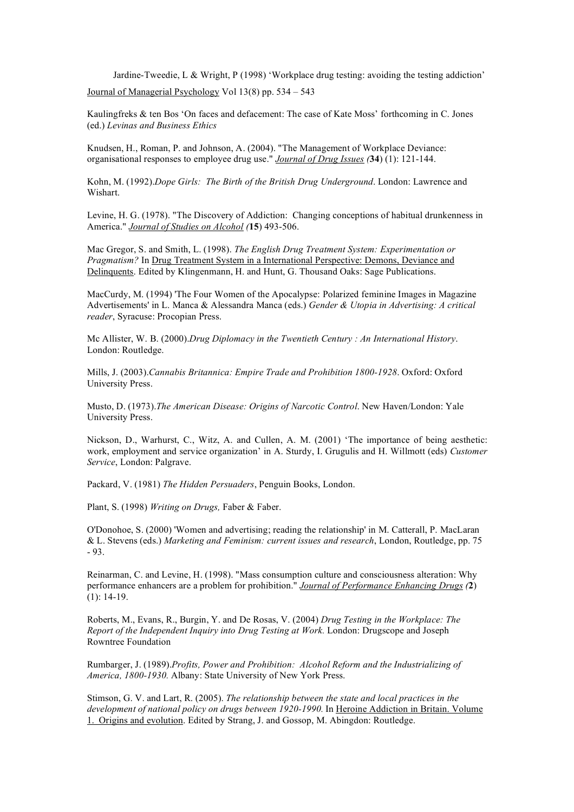Jardine-Tweedie, L & Wright, P (1998) 'Workplace drug testing: avoiding the testing addiction' Journal of Managerial Psychology Vol 13(8) pp. 534 – 543

Kaulingfreks & ten Bos 'On faces and defacement: The case of Kate Moss' forthcoming in C. Jones (ed.) *Levinas and Business Ethics*

Knudsen, H., Roman, P. and Johnson, A. (2004). "The Management of Workplace Deviance: organisational responses to employee drug use." *Journal of Drug Issues (***34**) (1): 121-144.

Kohn, M. (1992).*Dope Girls: The Birth of the British Drug Underground*. London: Lawrence and Wishart.

Levine, H. G. (1978). "The Discovery of Addiction: Changing conceptions of habitual drunkenness in America." *Journal of Studies on Alcohol (***15**) 493-506.

Mac Gregor, S. and Smith, L. (1998). *The English Drug Treatment System: Experimentation or Pragmatism?* In Drug Treatment System in a International Perspective: Demons, Deviance and Delinquents. Edited by Klingenmann, H. and Hunt, G. Thousand Oaks: Sage Publications.

MacCurdy, M. (1994) 'The Four Women of the Apocalypse: Polarized feminine Images in Magazine Advertisements' in L. Manca & Alessandra Manca (eds.) *Gender & Utopia in Advertising: A critical reader*, Syracuse: Procopian Press.

Mc Allister, W. B. (2000).*Drug Diplomacy in the Twentieth Century : An International History*. London: Routledge.

Mills, J. (2003).*Cannabis Britannica: Empire Trade and Prohibition 1800-1928*. Oxford: Oxford University Press.

Musto, D. (1973).*The American Disease: Origins of Narcotic Control*. New Haven/London: Yale University Press.

Nickson, D., Warhurst, C., Witz, A. and Cullen, A. M. (2001) 'The importance of being aesthetic: work, employment and service organization' in A. Sturdy, I. Grugulis and H. Willmott (eds) *Customer Service*, London: Palgrave.

Packard, V. (1981) *The Hidden Persuaders*, Penguin Books, London.

Plant, S. (1998) *Writing on Drugs,* Faber & Faber.

O'Donohoe, S. (2000) 'Women and advertising; reading the relationship' in M. Catterall, P. MacLaran & L. Stevens (eds.) *Marketing and Feminism: current issues and research*, London, Routledge, pp. 75 - 93.

Reinarman, C. and Levine, H. (1998). "Mass consumption culture and consciousness alteration: Why performance enhancers are a problem for prohibition." *Journal of Performance Enhancing Drugs (***2**)  $(1): 14-19.$ 

Roberts, M., Evans, R., Burgin, Y. and De Rosas, V. (2004) *Drug Testing in the Workplace: The Report of the Independent Inquiry into Drug Testing at Work.* London: Drugscope and Joseph Rowntree Foundation

Rumbarger, J. (1989).*Profits, Power and Prohibition: Alcohol Reform and the Industrializing of America, 1800-1930.* Albany: State University of New York Press.

Stimson, G. V. and Lart, R. (2005). *The relationship between the state and local practices in the development of national policy on drugs between 1920-1990.* In Heroine Addiction in Britain. Volume 1. Origins and evolution. Edited by Strang, J. and Gossop, M. Abingdon: Routledge.